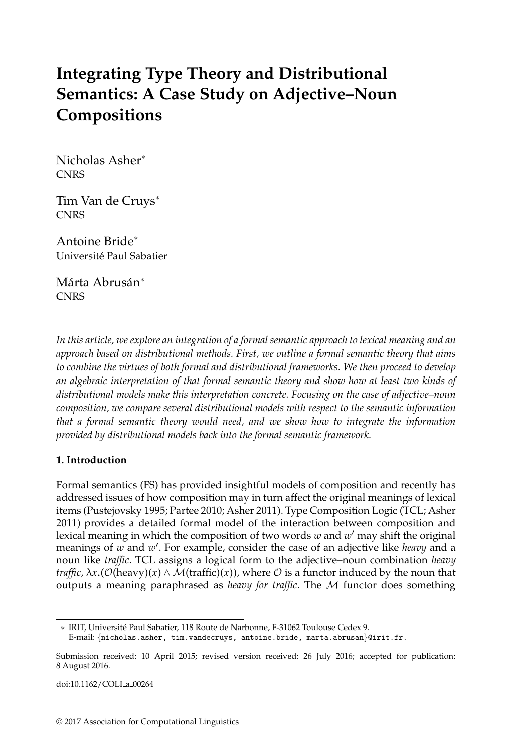# **Integrating Type Theory and Distributional Semantics: A Case Study on Adjective–Noun Compositions**

Nicholas Asher<sup>∗</sup> **CNRS** 

Tim Van de Cruys<sup>∗</sup> **CNRS** 

Antoine Bride<sup>∗</sup> Université Paul Sabatier

Márta Abrusán<sup>∗</sup> **CNRS** 

*In this article, we explore an integration of a formal semantic approach to lexical meaning and an approach based on distributional methods. First, we outline a formal semantic theory that aims to combine the virtues of both formal and distributional frameworks. We then proceed to develop an algebraic interpretation of that formal semantic theory and show how at least two kinds of distributional models make this interpretation concrete. Focusing on the case of adjective–noun composition, we compare several distributional models with respect to the semantic information that a formal semantic theory would need, and we show how to integrate the information provided by distributional models back into the formal semantic framework.*

# **1. Introduction**

Formal semantics (FS) has provided insightful models of composition and recently has addressed issues of how composition may in turn affect the original meanings of lexical items (Pustejovsky 1995; Partee 2010; Asher 2011). Type Composition Logic (TCL; Asher 2011) provides a detailed formal model of the interaction between composition and lexical meaning in which the composition of two words *w* and *w*- may shift the original meanings of *w* and *w*- . For example, consider the case of an adjective like *heavy* and a noun like *traffic*. TCL assigns a logical form to the adjective–noun combination *heavy traffic*,  $\lambda x.$ ( $\mathcal{O}$ (heavy)( $x$ ) ∧  $\mathcal{M}$ (traffic)( $x$ )), where  $\mathcal{O}$  is a functor induced by the noun that outputs a meaning paraphrased as *heavy for traffic*. The M functor does something

doi:10.1162/COLI a 00264

<sup>∗</sup> IRIT, Universit´e Paul Sabatier, 118 Route de Narbonne, F-31062 Toulouse Cedex 9.

E-mail: {nicholas.asher, tim.vandecruys, antoine.bride, marta.abrusan}@irit.fr.

Submission received: 10 April 2015; revised version received: 26 July 2016; accepted for publication: 8 August 2016.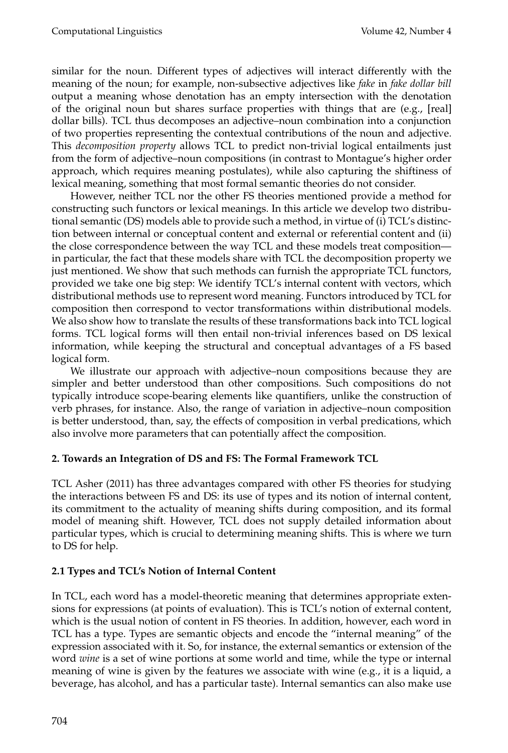similar for the noun. Different types of adjectives will interact differently with the meaning of the noun; for example, non-subsective adjectives like *fake* in *fake dollar bill* output a meaning whose denotation has an empty intersection with the denotation of the original noun but shares surface properties with things that are (e.g., [real] dollar bills). TCL thus decomposes an adjective–noun combination into a conjunction of two properties representing the contextual contributions of the noun and adjective. This *decomposition property* allows TCL to predict non-trivial logical entailments just from the form of adjective–noun compositions (in contrast to Montague's higher order approach, which requires meaning postulates), while also capturing the shiftiness of lexical meaning, something that most formal semantic theories do not consider.

However, neither TCL nor the other FS theories mentioned provide a method for constructing such functors or lexical meanings. In this article we develop two distributional semantic (DS) models able to provide such a method, in virtue of (i) TCL's distinction between internal or conceptual content and external or referential content and (ii) the close correspondence between the way TCL and these models treat composition in particular, the fact that these models share with TCL the decomposition property we just mentioned. We show that such methods can furnish the appropriate TCL functors, provided we take one big step: We identify TCL's internal content with vectors, which distributional methods use to represent word meaning. Functors introduced by TCL for composition then correspond to vector transformations within distributional models. We also show how to translate the results of these transformations back into TCL logical forms. TCL logical forms will then entail non-trivial inferences based on DS lexical information, while keeping the structural and conceptual advantages of a FS based logical form.

We illustrate our approach with adjective–noun compositions because they are simpler and better understood than other compositions. Such compositions do not typically introduce scope-bearing elements like quantifiers, unlike the construction of verb phrases, for instance. Also, the range of variation in adjective–noun composition is better understood, than, say, the effects of composition in verbal predications, which also involve more parameters that can potentially affect the composition.

# **2. Towards an Integration of DS and FS: The Formal Framework TCL**

TCL Asher (2011) has three advantages compared with other FS theories for studying the interactions between FS and DS: its use of types and its notion of internal content, its commitment to the actuality of meaning shifts during composition, and its formal model of meaning shift. However, TCL does not supply detailed information about particular types, which is crucial to determining meaning shifts. This is where we turn to DS for help.

# **2.1 Types and TCL's Notion of Internal Content**

In TCL, each word has a model-theoretic meaning that determines appropriate extensions for expressions (at points of evaluation). This is TCL's notion of external content, which is the usual notion of content in FS theories. In addition, however, each word in TCL has a type. Types are semantic objects and encode the "internal meaning" of the expression associated with it. So, for instance, the external semantics or extension of the word *wine* is a set of wine portions at some world and time, while the type or internal meaning of wine is given by the features we associate with wine (e.g., it is a liquid, a beverage, has alcohol, and has a particular taste). Internal semantics can also make use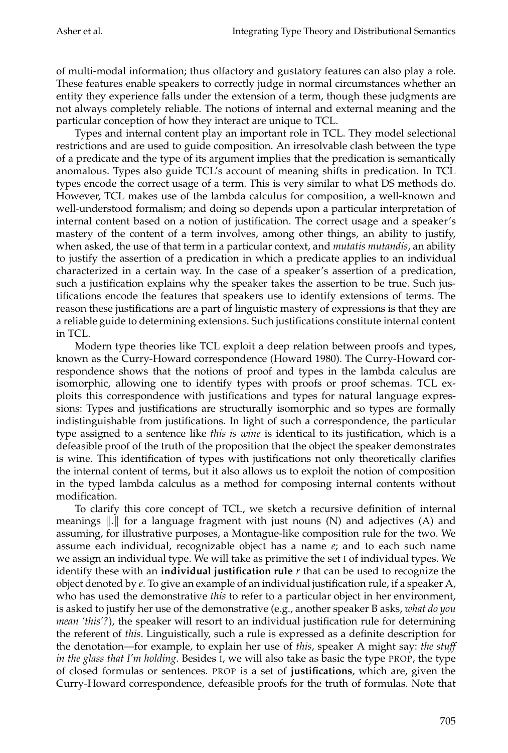of multi-modal information; thus olfactory and gustatory features can also play a role. These features enable speakers to correctly judge in normal circumstances whether an entity they experience falls under the extension of a term, though these judgments are not always completely reliable. The notions of internal and external meaning and the particular conception of how they interact are unique to TCL.

Types and internal content play an important role in TCL. They model selectional restrictions and are used to guide composition. An irresolvable clash between the type of a predicate and the type of its argument implies that the predication is semantically anomalous. Types also guide TCL's account of meaning shifts in predication. In TCL types encode the correct usage of a term. This is very similar to what DS methods do. However, TCL makes use of the lambda calculus for composition, a well-known and well-understood formalism; and doing so depends upon a particular interpretation of internal content based on a notion of justification. The correct usage and a speaker's mastery of the content of a term involves, among other things, an ability to justify, when asked, the use of that term in a particular context, and *mutatis mutandis*, an ability to justify the assertion of a predication in which a predicate applies to an individual characterized in a certain way. In the case of a speaker's assertion of a predication, such a justification explains why the speaker takes the assertion to be true. Such justifications encode the features that speakers use to identify extensions of terms. The reason these justifications are a part of linguistic mastery of expressions is that they are a reliable guide to determining extensions. Such justifications constitute internal content in TCL.

Modern type theories like TCL exploit a deep relation between proofs and types, known as the Curry-Howard correspondence (Howard 1980). The Curry-Howard correspondence shows that the notions of proof and types in the lambda calculus are isomorphic, allowing one to identify types with proofs or proof schemas. TCL exploits this correspondence with justifications and types for natural language expressions: Types and justifications are structurally isomorphic and so types are formally indistinguishable from justifications. In light of such a correspondence, the particular type assigned to a sentence like *this is wine* is identical to its justification, which is a defeasible proof of the truth of the proposition that the object the speaker demonstrates is wine. This identification of types with justifications not only theoretically clarifies the internal content of terms, but it also allows us to exploit the notion of composition in the typed lambda calculus as a method for composing internal contents without modification.

To clarify this core concept of TCL, we sketch a recursive definition of internal meanings  $\Vert . \Vert$  for a language fragment with just nouns (N) and adjectives (A) and assuming, for illustrative purposes, a Montague-like composition rule for the two. We assume each individual, recognizable object has a name *e*; and to each such name we assign an individual type. We will take as primitive the set I of individual types. We identify these with an **individual justification rule** *r* that can be used to recognize the object denoted by *e*. To give an example of an individual justification rule, if a speaker A, who has used the demonstrative *this* to refer to a particular object in her environment, is asked to justify her use of the demonstrative (e.g., another speaker B asks, *what do you mean 'this'?*), the speaker will resort to an individual justification rule for determining the referent of *this*. Linguistically, such a rule is expressed as a definite description for the denotation—for example, to explain her use of *this*, speaker A might say: *the stuff in the glass that I'm holding*. Besides I, we will also take as basic the type PROP, the type of closed formulas or sentences. PROP is a set of **justifications**, which are, given the Curry-Howard correspondence, defeasible proofs for the truth of formulas. Note that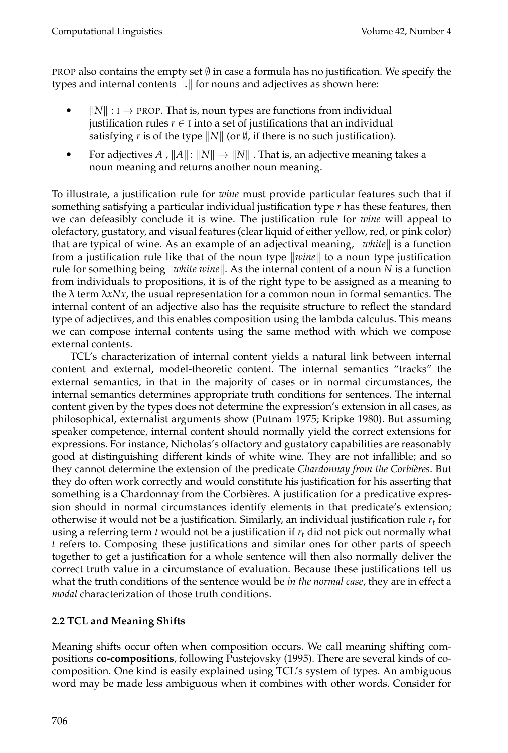PROP also contains the empty set  $\emptyset$  in case a formula has no justification. We specify the types and internal contents  $\Vert . \Vert$  for nouns and adjectives as shown here:

- - $||N||: I \rightarrow \text{PROP}$ . That is, noun types are functions from individual justification rules  $r \in I$  into a set of justifications that an individual satisfying *r* is of the type  $||N||$  (or  $\emptyset$ , if there is no such justification).
- -For adjectives *A*,  $||A||: ||N|| \rightarrow ||N||$ . That is, an adjective meaning takes a noun meaning and returns another noun meaning.

To illustrate, a justification rule for *wine* must provide particular features such that if something satisfying a particular individual justification type *r* has these features, then we can defeasibly conclude it is wine. The justification rule for *wine* will appeal to olefactory, gustatory, and visual features (clear liquid of either yellow, red, or pink color) that are typical of wine. As an example of an adjectival meaning,  $\Vert \textit{white} \Vert$  is a function from a justification rule like that of the noun type  $\|wine\|$  to a noun type justification rule for something being  $\Vert \textit{white win} \Vert$ . As the internal content of a noun *N* is a function from individuals to propositions, it is of the right type to be assigned as a meaning to the  $\lambda$  term  $\lambda xNx$ , the usual representation for a common noun in formal semantics. The internal content of an adjective also has the requisite structure to reflect the standard type of adjectives, and this enables composition using the lambda calculus. This means we can compose internal contents using the same method with which we compose external contents.

TCL's characterization of internal content yields a natural link between internal content and external, model-theoretic content. The internal semantics "tracks" the external semantics, in that in the majority of cases or in normal circumstances, the internal semantics determines appropriate truth conditions for sentences. The internal content given by the types does not determine the expression's extension in all cases, as philosophical, externalist arguments show (Putnam 1975; Kripke 1980). But assuming speaker competence, internal content should normally yield the correct extensions for expressions. For instance, Nicholas's olfactory and gustatory capabilities are reasonably good at distinguishing different kinds of white wine. They are not infallible; and so they cannot determine the extension of the predicate *Chardonnay from the Corbières*. But they do often work correctly and would constitute his justification for his asserting that something is a Chardonnay from the Corbières. A justification for a predicative expression should in normal circumstances identify elements in that predicate's extension; otherwise it would not be a justification. Similarly, an individual justification rule  $r_t$  for using a referring term *t* would not be a justification if *rt* did not pick out normally what *t* refers to. Composing these justifications and similar ones for other parts of speech together to get a justification for a whole sentence will then also normally deliver the correct truth value in a circumstance of evaluation. Because these justifications tell us what the truth conditions of the sentence would be *in the normal case*, they are in effect a *modal* characterization of those truth conditions.

# **2.2 TCL and Meaning Shifts**

Meaning shifts occur often when composition occurs. We call meaning shifting compositions **co-compositions**, following Pustejovsky (1995). There are several kinds of cocomposition. One kind is easily explained using TCL's system of types. An ambiguous word may be made less ambiguous when it combines with other words. Consider for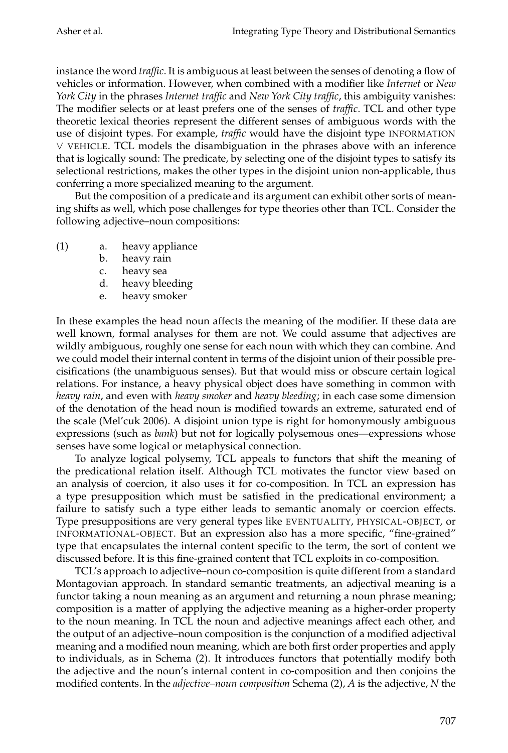instance the word *traffic*. It is ambiguous at least between the senses of denoting a flow of vehicles or information. However, when combined with a modifier like *Internet* or *New York City* in the phrases *Internet traffic* and *New York City traffic*, this ambiguity vanishes: The modifier selects or at least prefers one of the senses of *traffic*. TCL and other type theoretic lexical theories represent the different senses of ambiguous words with the use of disjoint types. For example, *traffic* would have the disjoint type INFORMATION ∨ VEHICLE. TCL models the disambiguation in the phrases above with an inference that is logically sound: The predicate, by selecting one of the disjoint types to satisfy its selectional restrictions, makes the other types in the disjoint union non-applicable, thus conferring a more specialized meaning to the argument.

But the composition of a predicate and its argument can exhibit other sorts of meaning shifts as well, which pose challenges for type theories other than TCL. Consider the following adjective–noun compositions:

- (1) a. heavy appliance
	- b. heavy rain
	- c. heavy sea
	- d. heavy bleeding
	- e. heavy smoker

In these examples the head noun affects the meaning of the modifier. If these data are well known, formal analyses for them are not. We could assume that adjectives are wildly ambiguous, roughly one sense for each noun with which they can combine. And we could model their internal content in terms of the disjoint union of their possible precisifications (the unambiguous senses). But that would miss or obscure certain logical relations. For instance, a heavy physical object does have something in common with *heavy rain*, and even with *heavy smoker* and *heavy bleeding*; in each case some dimension of the denotation of the head noun is modified towards an extreme, saturated end of the scale (Mel'cuk 2006). A disjoint union type is right for homonymously ambiguous expressions (such as *bank*) but not for logically polysemous ones—expressions whose senses have some logical or metaphysical connection.

To analyze logical polysemy, TCL appeals to functors that shift the meaning of the predicational relation itself. Although TCL motivates the functor view based on an analysis of coercion, it also uses it for co-composition. In TCL an expression has a type presupposition which must be satisfied in the predicational environment; a failure to satisfy such a type either leads to semantic anomaly or coercion effects. Type presuppositions are very general types like EVENTUALITY, PHYSICAL-OBJECT, or INFORMATIONAL-OBJECT. But an expression also has a more specific, "fine-grained" type that encapsulates the internal content specific to the term, the sort of content we discussed before. It is this fine-grained content that TCL exploits in co-composition.

TCL's approach to adjective–noun co-composition is quite different from a standard Montagovian approach. In standard semantic treatments, an adjectival meaning is a functor taking a noun meaning as an argument and returning a noun phrase meaning; composition is a matter of applying the adjective meaning as a higher-order property to the noun meaning. In TCL the noun and adjective meanings affect each other, and the output of an adjective–noun composition is the conjunction of a modified adjectival meaning and a modified noun meaning, which are both first order properties and apply to individuals, as in Schema (2). It introduces functors that potentially modify both the adjective and the noun's internal content in co-composition and then conjoins the modified contents. In the *adjective–noun composition* Schema (2), *A* is the adjective, *N* the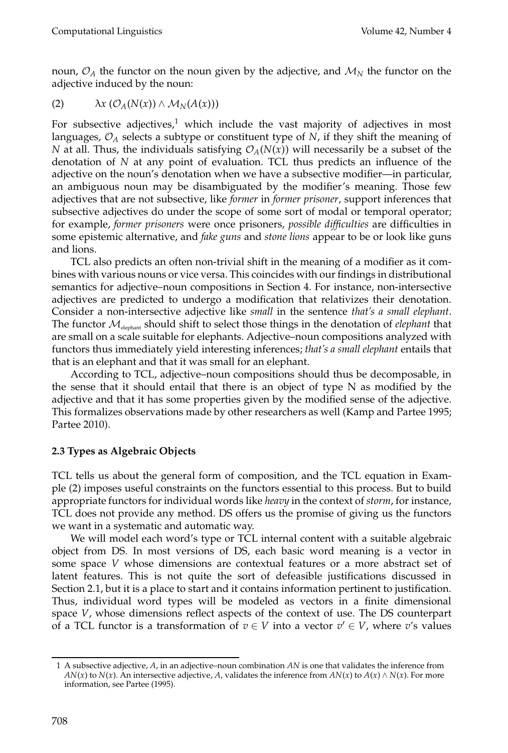noun,  $\mathcal{O}_A$  the functor on the noun given by the adjective, and  $\mathcal{M}_N$  the functor on the adjective induced by the noun:

(2) 
$$
\lambda x \left( \mathcal{O}_A(N(x)) \wedge \mathcal{M}_N(A(x)) \right)
$$

For subsective adjectives, $1$  which include the vast majority of adjectives in most languages, O*<sup>A</sup>* selects a subtype or constituent type of *N*, if they shift the meaning of *N* at all. Thus, the individuals satisfying  $O_A(N(x))$  will necessarily be a subset of the denotation of *N* at any point of evaluation. TCL thus predicts an influence of the adjective on the noun's denotation when we have a subsective modifier—in particular, an ambiguous noun may be disambiguated by the modifier's meaning. Those few adjectives that are not subsective, like *former* in *former prisoner*, support inferences that subsective adjectives do under the scope of some sort of modal or temporal operator; for example, *former prisoners* were once prisoners, *possible difficulties* are difficulties in some epistemic alternative, and *fake guns* and *stone lions* appear to be or look like guns and lions.

TCL also predicts an often non-trivial shift in the meaning of a modifier as it combines with various nouns or vice versa. This coincides with our findings in distributional semantics for adjective–noun compositions in Section 4. For instance, non-intersective adjectives are predicted to undergo a modification that relativizes their denotation. Consider a non-intersective adjective like *small* in the sentence *that's a small elephant*. The functor Melephant should shift to select those things in the denotation of *elephant* that are small on a scale suitable for elephants. Adjective–noun compositions analyzed with functors thus immediately yield interesting inferences; *that's a small elephant* entails that that is an elephant and that it was small for an elephant.

According to TCL, adjective–noun compositions should thus be decomposable, in the sense that it should entail that there is an object of type N as modified by the adjective and that it has some properties given by the modified sense of the adjective. This formalizes observations made by other researchers as well (Kamp and Partee 1995; Partee 2010).

#### **2.3 Types as Algebraic Objects**

TCL tells us about the general form of composition, and the TCL equation in Example (2) imposes useful constraints on the functors essential to this process. But to build appropriate functors for individual words like *heavy* in the context of *storm*, for instance, TCL does not provide any method. DS offers us the promise of giving us the functors we want in a systematic and automatic way.

We will model each word's type or TCL internal content with a suitable algebraic object from DS. In most versions of DS, each basic word meaning is a vector in some space *V* whose dimensions are contextual features or a more abstract set of latent features. This is not quite the sort of defeasible justifications discussed in Section 2.1, but it is a place to start and it contains information pertinent to justification. Thus, individual word types will be modeled as vectors in a finite dimensional space *V*, whose dimensions reflect aspects of the context of use. The DS counterpart of a TCL functor is a transformation of  $v \in V$  into a vector  $v' \in V$ , where  $v'$ s values

<sup>1</sup> A subsective adjective, *A*, in an adjective–noun combination *AN* is one that validates the inference from  $A N(x)$  to  $N(x)$ . An intersective adjective, *A*, validates the inference from  $A N(x)$  to  $A(x) \wedge N(x)$ . For more information, see Partee (1995).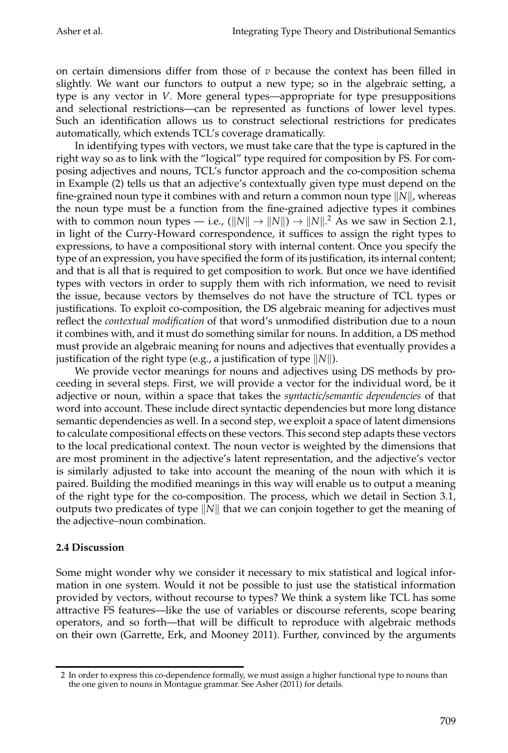on certain dimensions differ from those of  $v$  because the context has been filled in slightly. We want our functors to output a new type; so in the algebraic setting, a type is any vector in *V*. More general types—appropriate for type presuppositions and selectional restrictions—can be represented as functions of lower level types. Such an identification allows us to construct selectional restrictions for predicates automatically, which extends TCL's coverage dramatically.

In identifying types with vectors, we must take care that the type is captured in the right way so as to link with the "logical" type required for composition by FS. For composing adjectives and nouns, TCL's functor approach and the co-composition schema in Example (2) tells us that an adjective's contextually given type must depend on the fine-grained noun type it combines with and return a common noun type  $||N||$ , whereas the noun type must be a function from the fine-grained adjective types it combines with to common noun types — i.e.,  $(||N|| \rightarrow ||N||) \rightarrow ||N||^2$  As we saw in Section 2.1, in light of the Curry-Howard correspondence, it suffices to assign the right types to expressions, to have a compositional story with internal content. Once you specify the type of an expression, you have specified the form of its justification, its internal content; and that is all that is required to get composition to work. But once we have identified types with vectors in order to supply them with rich information, we need to revisit the issue, because vectors by themselves do not have the structure of TCL types or justifications. To exploit co-composition, the DS algebraic meaning for adjectives must reflect the *contextual modification* of that word's unmodified distribution due to a noun it combines with, and it must do something similar for nouns. In addition, a DS method must provide an algebraic meaning for nouns and adjectives that eventually provides a justification of the right type (e.g., a justification of type  $||N||$ ).

We provide vector meanings for nouns and adjectives using DS methods by proceeding in several steps. First, we will provide a vector for the individual word, be it adjective or noun, within a space that takes the *syntactic/semantic dependencies* of that word into account. These include direct syntactic dependencies but more long distance semantic dependencies as well. In a second step, we exploit a space of latent dimensions to calculate compositional effects on these vectors. This second step adapts these vectors to the local predicational context. The noun vector is weighted by the dimensions that are most prominent in the adjective's latent representation, and the adjective's vector is similarly adjusted to take into account the meaning of the noun with which it is paired. Building the modified meanings in this way will enable us to output a meaning of the right type for the co-composition. The process, which we detail in Section 3.1, outputs two predicates of type  $||N||$  that we can conjoin together to get the meaning of the adjective–noun combination.

#### **2.4 Discussion**

Some might wonder why we consider it necessary to mix statistical and logical information in one system. Would it not be possible to just use the statistical information provided by vectors, without recourse to types? We think a system like TCL has some attractive FS features—like the use of variables or discourse referents, scope bearing operators, and so forth—that will be difficult to reproduce with algebraic methods on their own (Garrette, Erk, and Mooney 2011). Further, convinced by the arguments

<sup>2</sup> In order to express this co-dependence formally, we must assign a higher functional type to nouns than the one given to nouns in Montague grammar. See Asher (2011) for details.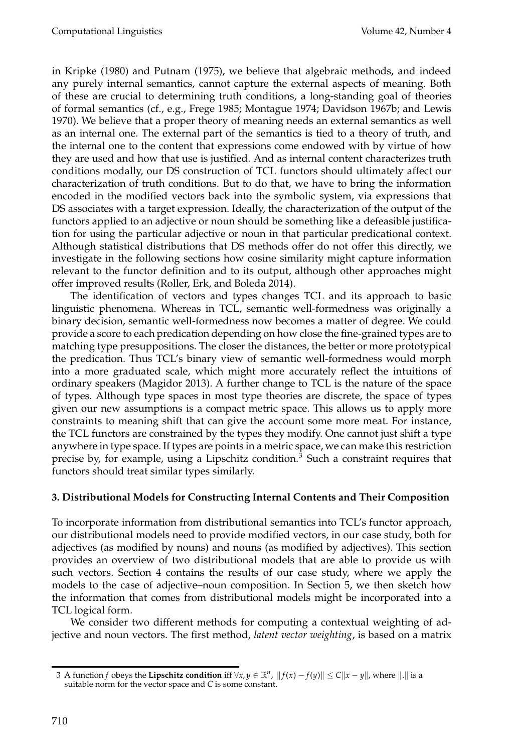in Kripke (1980) and Putnam (1975), we believe that algebraic methods, and indeed any purely internal semantics, cannot capture the external aspects of meaning. Both of these are crucial to determining truth conditions, a long-standing goal of theories of formal semantics (cf., e.g., Frege 1985; Montague 1974; Davidson 1967b; and Lewis 1970). We believe that a proper theory of meaning needs an external semantics as well as an internal one. The external part of the semantics is tied to a theory of truth, and the internal one to the content that expressions come endowed with by virtue of how they are used and how that use is justified. And as internal content characterizes truth conditions modally, our DS construction of TCL functors should ultimately affect our characterization of truth conditions. But to do that, we have to bring the information encoded in the modified vectors back into the symbolic system, via expressions that DS associates with a target expression. Ideally, the characterization of the output of the functors applied to an adjective or noun should be something like a defeasible justification for using the particular adjective or noun in that particular predicational context. Although statistical distributions that DS methods offer do not offer this directly, we investigate in the following sections how cosine similarity might capture information relevant to the functor definition and to its output, although other approaches might offer improved results (Roller, Erk, and Boleda 2014).

The identification of vectors and types changes TCL and its approach to basic linguistic phenomena. Whereas in TCL, semantic well-formedness was originally a binary decision, semantic well-formedness now becomes a matter of degree. We could provide a score to each predication depending on how close the fine-grained types are to matching type presuppositions. The closer the distances, the better or more prototypical the predication. Thus TCL's binary view of semantic well-formedness would morph into a more graduated scale, which might more accurately reflect the intuitions of ordinary speakers (Magidor 2013). A further change to TCL is the nature of the space of types. Although type spaces in most type theories are discrete, the space of types given our new assumptions is a compact metric space. This allows us to apply more constraints to meaning shift that can give the account some more meat. For instance, the TCL functors are constrained by the types they modify. One cannot just shift a type anywhere in type space. If types are points in a metric space, we can make this restriction precise by, for example, using a Lipschitz condition.<sup>3</sup> Such a constraint requires that functors should treat similar types similarly.

# **3. Distributional Models for Constructing Internal Contents and Their Composition**

To incorporate information from distributional semantics into TCL's functor approach, our distributional models need to provide modified vectors, in our case study, both for adjectives (as modified by nouns) and nouns (as modified by adjectives). This section provides an overview of two distributional models that are able to provide us with such vectors. Section 4 contains the results of our case study, where we apply the models to the case of adjective–noun composition. In Section 5, we then sketch how the information that comes from distributional models might be incorporated into a TCL logical form.

We consider two different methods for computing a contextual weighting of adjective and noun vectors. The first method, *latent vector weighting*, is based on a matrix

<sup>3</sup> A function *f* obeys the **Lipschitz condition** iff  $\forall x, y \in \mathbb{R}^n$ ,  $||f(x) - f(y)|| \le C||x - y||$ , where  $||.||$  is a suitable norm for the vector space and *C* is some constant.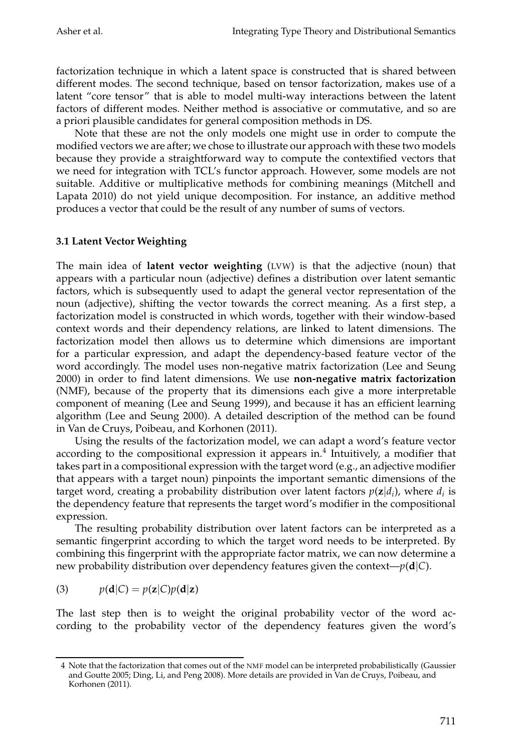factorization technique in which a latent space is constructed that is shared between different modes. The second technique, based on tensor factorization, makes use of a latent "core tensor" that is able to model multi-way interactions between the latent factors of different modes. Neither method is associative or commutative, and so are a priori plausible candidates for general composition methods in DS.

Note that these are not the only models one might use in order to compute the modified vectors we are after; we chose to illustrate our approach with these two models because they provide a straightforward way to compute the contextified vectors that we need for integration with TCL's functor approach. However, some models are not suitable. Additive or multiplicative methods for combining meanings (Mitchell and Lapata 2010) do not yield unique decomposition. For instance, an additive method produces a vector that could be the result of any number of sums of vectors.

#### **3.1 Latent Vector Weighting**

The main idea of **latent vector weighting** (LVW) is that the adjective (noun) that appears with a particular noun (adjective) defines a distribution over latent semantic factors, which is subsequently used to adapt the general vector representation of the noun (adjective), shifting the vector towards the correct meaning. As a first step, a factorization model is constructed in which words, together with their window-based context words and their dependency relations, are linked to latent dimensions. The factorization model then allows us to determine which dimensions are important for a particular expression, and adapt the dependency-based feature vector of the word accordingly. The model uses non-negative matrix factorization (Lee and Seung 2000) in order to find latent dimensions. We use **non-negative matrix factorization** (NMF), because of the property that its dimensions each give a more interpretable component of meaning (Lee and Seung 1999), and because it has an efficient learning algorithm (Lee and Seung 2000). A detailed description of the method can be found in Van de Cruys, Poibeau, and Korhonen (2011).

Using the results of the factorization model, we can adapt a word's feature vector according to the compositional expression it appears in.<sup>4</sup> Intuitively, a modifier that takes part in a compositional expression with the target word (e.g., an adjective modifier that appears with a target noun) pinpoints the important semantic dimensions of the target word, creating a probability distribution over latent factors  $p(\mathbf{z}|d_i)$ , where  $d_i$  is the dependency feature that represents the target word's modifier in the compositional expression.

The resulting probability distribution over latent factors can be interpreted as a semantic fingerprint according to which the target word needs to be interpreted. By combining this fingerprint with the appropriate factor matrix, we can now determine a new probability distribution over dependency features given the context— $p(\mathbf{d}|C)$ .

(3) 
$$
p(\mathbf{d}|C) = p(\mathbf{z}|C)p(\mathbf{d}|\mathbf{z})
$$

The last step then is to weight the original probability vector of the word according to the probability vector of the dependency features given the word's

<sup>4</sup> Note that the factorization that comes out of the NMF model can be interpreted probabilistically (Gaussier and Goutte 2005; Ding, Li, and Peng 2008). More details are provided in Van de Cruys, Poibeau, and Korhonen (2011).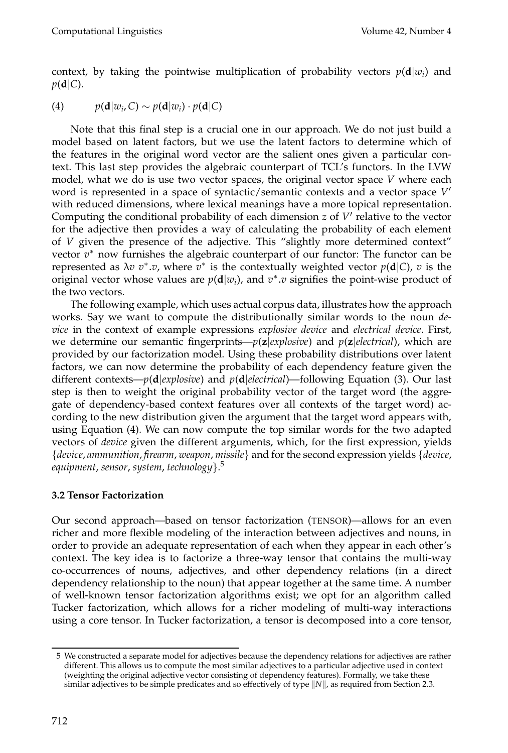context, by taking the pointwise multiplication of probability vectors  $p(\mathbf{d}|w_i)$  and *p*(**d**|*C*).

(4) 
$$
p(\mathbf{d}|w_i, C) \sim p(\mathbf{d}|w_i) \cdot p(\mathbf{d}|C)
$$

Note that this final step is a crucial one in our approach. We do not just build a model based on latent factors, but we use the latent factors to determine which of the features in the original word vector are the salient ones given a particular context. This last step provides the algebraic counterpart of TCL's functors. In the LVW model, what we do is use two vector spaces, the original vector space *V* where each word is represented in a space of syntactic/semantic contexts and a vector space *V* with reduced dimensions, where lexical meanings have a more topical representation. Computing the conditional probability of each dimension *z* of *V*<sup>*'*</sup> relative to the vector for the adjective then provides a way of calculating the probability of each element of *V* given the presence of the adjective. This "slightly more determined context" vector *v*∗ now furnishes the algebraic counterpart of our functor: The functor can be represented as  $\lambda v v^*$ .*v*, where  $v^*$  is the contextually weighted vector  $p(\mathbf{d}|C)$ , *v* is the original vector whose values are  $p(\mathbf{d}|w_i)$ , and  $v^*$ .*v* signifies the point-wise product of the two vectors.

The following example, which uses actual corpus data, illustrates how the approach works. Say we want to compute the distributionally similar words to the noun *device* in the context of example expressions *explosive device* and *electrical device*. First, we determine our semantic fingerprints—*p*(**z**|*explosive*) and *p*(**z**|*electrical*), which are provided by our factorization model. Using these probability distributions over latent factors, we can now determine the probability of each dependency feature given the different contexts—*p*(**d**|*explosive*) and *p*(**d**|*electrical*)—following Equation (3). Our last step is then to weight the original probability vector of the target word (the aggregate of dependency-based context features over all contexts of the target word) according to the new distribution given the argument that the target word appears with, using Equation (4). We can now compute the top similar words for the two adapted vectors of *device* given the different arguments, which, for the first expression, yields {*device*, *ammunition*, *firearm*, *weapon*, *missile*} and for the second expression yields {*device*, *equipment*, *sensor*, *system*, *technology*}. 5

#### **3.2 Tensor Factorization**

Our second approach—based on tensor factorization (TENSOR)—allows for an even richer and more flexible modeling of the interaction between adjectives and nouns, in order to provide an adequate representation of each when they appear in each other's context. The key idea is to factorize a three-way tensor that contains the multi-way co-occurrences of nouns, adjectives, and other dependency relations (in a direct dependency relationship to the noun) that appear together at the same time. A number of well-known tensor factorization algorithms exist; we opt for an algorithm called Tucker factorization, which allows for a richer modeling of multi-way interactions using a core tensor. In Tucker factorization, a tensor is decomposed into a core tensor,

<sup>5</sup> We constructed a separate model for adjectives because the dependency relations for adjectives are rather different. This allows us to compute the most similar adjectives to a particular adjective used in context (weighting the original adjective vector consisting of dependency features). Formally, we take these similar adjectives to be simple predicates and so effectively of type  $||N||$ , as required from Section 2.3.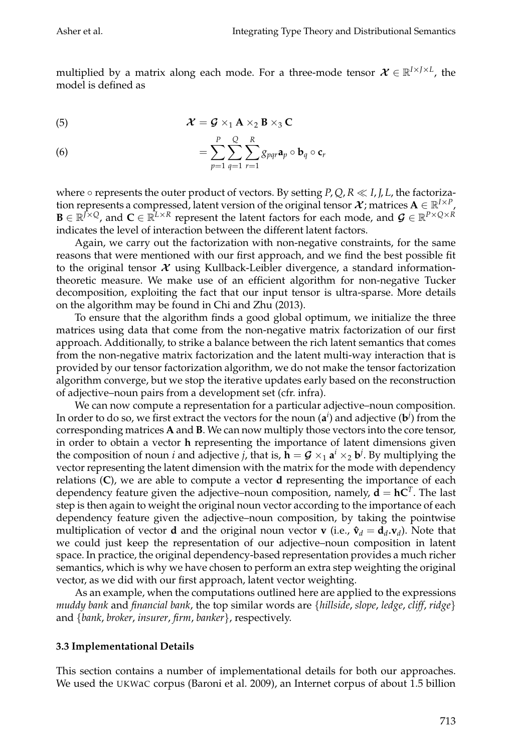multiplied by a matrix along each mode. For a three-mode tensor  $\mathcal{X} \in \mathbb{R}^{I \times J \times L}$ , the model is defined as

(5) 
$$
\mathcal{X} = \mathcal{G} \times_1 \mathbf{A} \times_2 \mathbf{B} \times_3 \mathbf{C}
$$

(6) 
$$
= \sum_{p=1}^{P} \sum_{q=1}^{Q} \sum_{r=1}^{R} g_{pqr} \mathbf{a}_p \circ \mathbf{b}_q \circ \mathbf{c}_r
$$

where  $\circ$  represents the outer product of vectors. By setting *P*, *Q*, *R*  $\ll$  *I*, *J*, *L*, the factorization represents a compressed, latent version of the original tensor  $\mathcal{X}$ ; matrices  $\mathbf{A} \in \mathbb{R}^{I \times P}$ ,  $\mathbf{B} \in \mathbb{R}^{\int \times Q}$ , and  $\mathbf{C} \in \mathbb{R}^{L \times R}$  represent the latent factors for each mode, and  $\mathbf{G} \in \mathbb{R}^{P \times Q \times R}$ indicates the level of interaction between the different latent factors.

Again, we carry out the factorization with non-negative constraints, for the same reasons that were mentioned with our first approach, and we find the best possible fit to the original tensor  $\mathcal X$  using Kullback-Leibler divergence, a standard informationtheoretic measure. We make use of an efficient algorithm for non-negative Tucker decomposition, exploiting the fact that our input tensor is ultra-sparse. More details on the algorithm may be found in Chi and Zhu (2013).

To ensure that the algorithm finds a good global optimum, we initialize the three matrices using data that come from the non-negative matrix factorization of our first approach. Additionally, to strike a balance between the rich latent semantics that comes from the non-negative matrix factorization and the latent multi-way interaction that is provided by our tensor factorization algorithm, we do not make the tensor factorization algorithm converge, but we stop the iterative updates early based on the reconstruction of adjective–noun pairs from a development set (cfr. infra).

We can now compute a representation for a particular adjective–noun composition. In order to do so, we first extract the vectors for the noun  $(a^i)$  and adjective  $(b^j)$  from the corresponding matrices **A** and **B**. We can now multiply those vectors into the core tensor, in order to obtain a vector **h** representing the importance of latent dimensions given the composition of noun *i* and adjective *j*, that is,  $\mathbf{h} = \mathcal{G} \times_1 \mathbf{a}^i \times_2 \mathbf{b}^j$ . By multiplying the vector representing the latent dimension with the matrix for the mode with dependency relations (**C**), we are able to compute a vector **d** representing the importance of each dependency feature given the adjective–noun composition, namely,  $\mathbf{d} = \mathbf{h} \mathbf{C}^T$ . The last step is then again to weight the original noun vector according to the importance of each dependency feature given the adjective–noun composition, by taking the pointwise multiplication of vector **d** and the original noun vector **v** (i.e.,  $\hat{\mathbf{v}}_d = \mathbf{d}_d \mathbf{v}_d$ ). Note that we could just keep the representation of our adjective–noun composition in latent space. In practice, the original dependency-based representation provides a much richer semantics, which is why we have chosen to perform an extra step weighting the original vector, as we did with our first approach, latent vector weighting.

As an example, when the computations outlined here are applied to the expressions *muddy bank* and *financial bank*, the top similar words are {*hillside*, *slope*, *ledge*, *cliff*, *ridge*} and {*bank*, *broker*, *insurer*, *firm*, *banker*}, respectively.

#### **3.3 Implementational Details**

This section contains a number of implementational details for both our approaches. We used the UKWaC corpus (Baroni et al. 2009), an Internet corpus of about 1.5 billion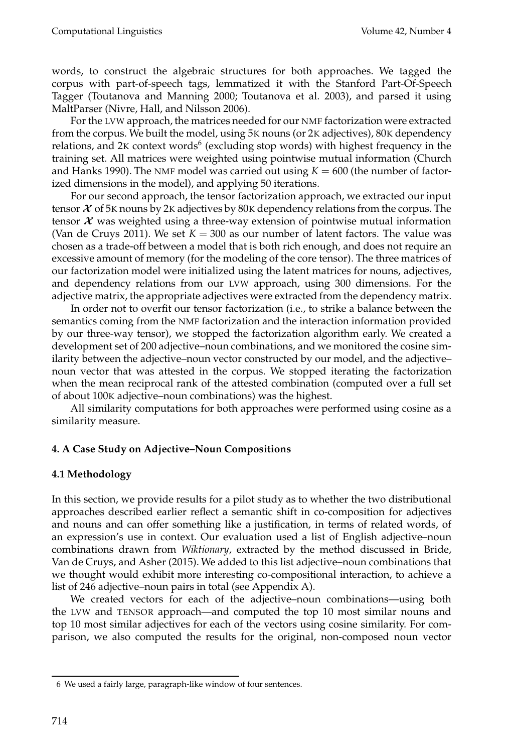words, to construct the algebraic structures for both approaches. We tagged the corpus with part-of-speech tags, lemmatized it with the Stanford Part-Of-Speech Tagger (Toutanova and Manning 2000; Toutanova et al. 2003), and parsed it using MaltParser (Nivre, Hall, and Nilsson 2006).

For the LVW approach, the matrices needed for our NMF factorization were extracted from the corpus. We built the model, using 5K nouns (or 2K adjectives), 80K dependency relations, and 2K context words<sup> $6$ </sup> (excluding stop words) with highest frequency in the training set. All matrices were weighted using pointwise mutual information (Church and Hanks 1990). The NMF model was carried out using  $K = 600$  (the number of factorized dimensions in the model), and applying 50 iterations.

For our second approach, the tensor factorization approach, we extracted our input tensor  $\chi$  of 5K nouns by 2K adjectives by 80K dependency relations from the corpus. The tensor  $\mathcal X$  was weighted using a three-way extension of pointwise mutual information (Van de Cruys 2011). We set  $K = 300$  as our number of latent factors. The value was chosen as a trade-off between a model that is both rich enough, and does not require an excessive amount of memory (for the modeling of the core tensor). The three matrices of our factorization model were initialized using the latent matrices for nouns, adjectives, and dependency relations from our LVW approach, using 300 dimensions. For the adjective matrix, the appropriate adjectives were extracted from the dependency matrix.

In order not to overfit our tensor factorization (i.e., to strike a balance between the semantics coming from the NMF factorization and the interaction information provided by our three-way tensor), we stopped the factorization algorithm early. We created a development set of 200 adjective–noun combinations, and we monitored the cosine similarity between the adjective–noun vector constructed by our model, and the adjective– noun vector that was attested in the corpus. We stopped iterating the factorization when the mean reciprocal rank of the attested combination (computed over a full set of about 100K adjective–noun combinations) was the highest.

All similarity computations for both approaches were performed using cosine as a similarity measure.

#### **4. A Case Study on Adjective–Noun Compositions**

#### **4.1 Methodology**

In this section, we provide results for a pilot study as to whether the two distributional approaches described earlier reflect a semantic shift in co-composition for adjectives and nouns and can offer something like a justification, in terms of related words, of an expression's use in context. Our evaluation used a list of English adjective–noun combinations drawn from *Wiktionary*, extracted by the method discussed in Bride, Van de Cruys, and Asher (2015). We added to this list adjective–noun combinations that we thought would exhibit more interesting co-compositional interaction, to achieve a list of 246 adjective–noun pairs in total (see Appendix A).

We created vectors for each of the adjective–noun combinations—using both the LVW and TENSOR approach—and computed the top 10 most similar nouns and top 10 most similar adjectives for each of the vectors using cosine similarity. For comparison, we also computed the results for the original, non-composed noun vector

<sup>6</sup> We used a fairly large, paragraph-like window of four sentences.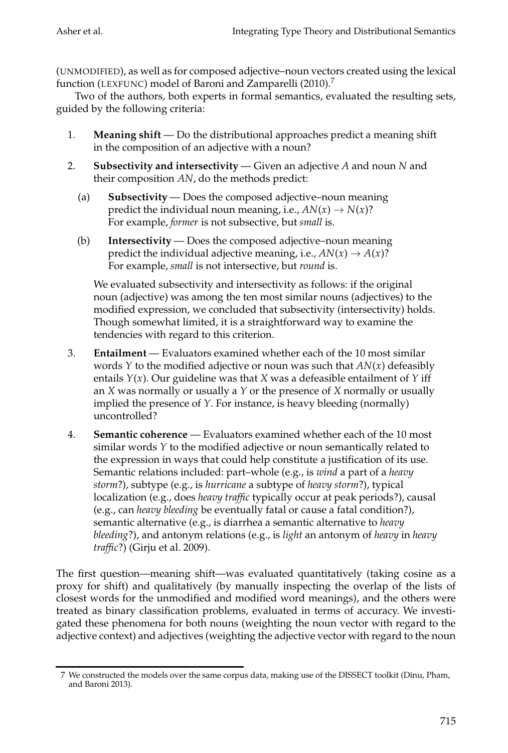(UNMODIFIED), as well as for composed adjective–noun vectors created using the lexical function (LEXFUNC) model of Baroni and Zamparelli (2010).<sup>7</sup>

Two of the authors, both experts in formal semantics, evaluated the resulting sets, guided by the following criteria:

- 1. **Meaning shift** Do the distributional approaches predict a meaning shift in the composition of an adjective with a noun?
- 2. **Subsectivity and intersectivity** Given an adjective *A* and noun *N* and their composition *AN*, do the methods predict:
	- (a) **Subsectivity** Does the composed adjective–noun meaning predict the individual noun meaning, i.e.,  $AN(x) \rightarrow N(x)$ ? For example, *former* is not subsective, but *small* is.
	- (b) **Intersectivity** Does the composed adjective–noun meaning predict the individual adjective meaning, i.e.,  $AN(x) \rightarrow A(x)$ ? For example, *small* is not intersective, but *round* is.

We evaluated subsectivity and intersectivity as follows: if the original noun (adjective) was among the ten most similar nouns (adjectives) to the modified expression, we concluded that subsectivity (intersectivity) holds. Though somewhat limited, it is a straightforward way to examine the tendencies with regard to this criterion.

- 3. **Entailment** Evaluators examined whether each of the 10 most similar words *Y* to the modified adjective or noun was such that *AN*(*x*) defeasibly entails  $Y(x)$ . Our guideline was that *X* was a defeasible entailment of *Y* iff an *X* was normally or usually a *Y* or the presence of *X* normally or usually implied the presence of *Y*. For instance, is heavy bleeding (normally) uncontrolled?
- 4. **Semantic coherence** Evaluators examined whether each of the 10 most similar words *Y* to the modified adjective or noun semantically related to the expression in ways that could help constitute a justification of its use. Semantic relations included: part–whole (e.g., is *wind* a part of a *heavy storm*?), subtype (e.g., is *hurricane* a subtype of *heavy storm*?), typical localization (e.g., does *heavy traffic* typically occur at peak periods?), causal (e.g., can *heavy bleeding* be eventually fatal or cause a fatal condition?), semantic alternative (e.g., is diarrhea a semantic alternative to *heavy bleeding*?), and antonym relations (e.g., is *light* an antonym of *heavy* in *heavy traffic*?) (Girju et al. 2009).

The first question—meaning shift—was evaluated quantitatively (taking cosine as a proxy for shift) and qualitatively (by manually inspecting the overlap of the lists of closest words for the unmodified and modified word meanings), and the others were treated as binary classification problems, evaluated in terms of accuracy. We investigated these phenomena for both nouns (weighting the noun vector with regard to the adjective context) and adjectives (weighting the adjective vector with regard to the noun

<sup>7</sup> We constructed the models over the same corpus data, making use of the DISSECT toolkit (Dinu, Pham, and Baroni 2013).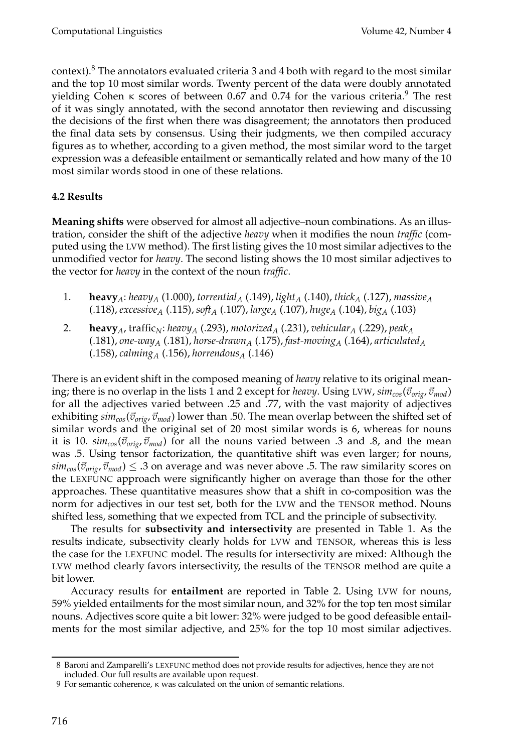context).<sup>8</sup> The annotators evaluated criteria 3 and 4 both with regard to the most similar and the top 10 most similar words. Twenty percent of the data were doubly annotated yielding Cohen  $\kappa$  scores of between 0.67 and 0.74 for the various criteria.<sup>9</sup> The rest of it was singly annotated, with the second annotator then reviewing and discussing the decisions of the first when there was disagreement; the annotators then produced the final data sets by consensus. Using their judgments, we then compiled accuracy figures as to whether, according to a given method, the most similar word to the target expression was a defeasible entailment or semantically related and how many of the 10 most similar words stood in one of these relations.

# **4.2 Results**

**Meaning shifts** were observed for almost all adjective–noun combinations. As an illustration, consider the shift of the adjective *heavy* when it modifies the noun *traffic* (computed using the LVW method). The first listing gives the 10 most similar adjectives to the unmodified vector for *heavy*. The second listing shows the 10 most similar adjectives to the vector for *heavy* in the context of the noun *traffic*.

- 1. **heavy**<sub>A</sub>: *heavy*<sub>A</sub> (1.000), *torrential*<sub>A</sub> (.149), *light*<sub>A</sub> (.140), *thick*<sub>A</sub> (.127), *massive*<sub>A</sub> (.118), *excessiveA* (.115), *softA* (.107), *largeA* (.107), *hugeA* (.104), *bigA* (.103)
- 2. **heavy**<sub>*A*</sub>, traffic<sub>N</sub>: *heavy*<sub>*A*</sub> (.293), *motorized*<sub>*A*</sub> (.231), *vehicular*<sub>*A*</sub> (.229), *peak*<sub>*A*</sub>  $(0.181)$ , *one-way*<sub>A</sub>  $(0.181)$ , *horse-drawn*<sub>A</sub>  $(0.175)$ , *fast-moving*<sub>A</sub>  $(0.164)$ , *articulated*<sub>A</sub>  $(0.158)$ , *calming<sub>A</sub>*  $(0.156)$ , *horrendous<sub>A</sub>*  $(0.146)$

There is an evident shift in the composed meaning of *heavy* relative to its original meaning; there is no overlap in the lists 1 and 2 except for *heavy*. Using LVW,  $sim_{cos}(\vec{v}_{orig}, \vec{v}_{mod})$ for all the adjectives varied between .25 and .77, with the vast majority of adjectives exhibiting  $sim_{cos}(\vec{v}_{orig},\vec{v}_{mod})$  lower than .50. The mean overlap between the shifted set of similar words and the original set of 20 most similar words is 6, whereas for nouns it is 10.  $sim_{cos}(\vec{v}_{orig}, \vec{v}_{mod})$  for all the nouns varied between .3 and .8, and the mean was .5. Using tensor factorization, the quantitative shift was even larger; for nouns,  $sim_{cos}(\vec{v}_{orig}, \vec{v}_{mod}) \leq .3$  on average and was never above .5. The raw similarity scores on the LEXFUNC approach were significantly higher on average than those for the other approaches. These quantitative measures show that a shift in co-composition was the norm for adjectives in our test set, both for the LVW and the TENSOR method. Nouns shifted less, something that we expected from TCL and the principle of subsectivity.

The results for **subsectivity and intersectivity** are presented in Table 1. As the results indicate, subsectivity clearly holds for LVW and TENSOR, whereas this is less the case for the LEXFUNC model. The results for intersectivity are mixed: Although the LVW method clearly favors intersectivity, the results of the TENSOR method are quite a bit lower.

Accuracy results for **entailment** are reported in Table 2. Using LVW for nouns, 59% yielded entailments for the most similar noun, and 32% for the top ten most similar nouns. Adjectives score quite a bit lower: 32% were judged to be good defeasible entailments for the most similar adjective, and 25% for the top 10 most similar adjectives.

<sup>8</sup> Baroni and Zamparelli's LEXFUNC method does not provide results for adjectives, hence they are not included. Our full results are available upon request.

<sup>9</sup> For semantic coherence, κ was calculated on the union of semantic relations.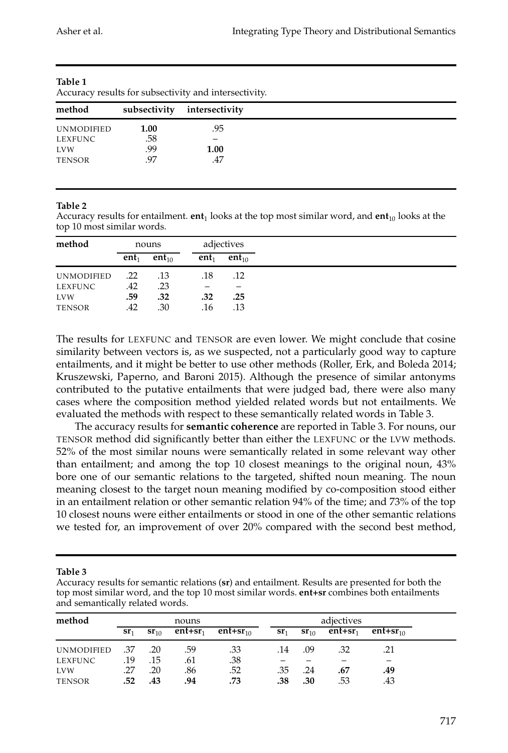| ۰.<br>×<br>٠<br>× | . . |
|-------------------|-----|

|  |  | Accuracy results for subsectivity and intersectivity. |
|--|--|-------------------------------------------------------|
|  |  |                                                       |

| method        | subsectivity | intersectivity |  |
|---------------|--------------|----------------|--|
| UNMODIFIED    | 1.00         | .95            |  |
| LEXFUNC       | .58          | -              |  |
| <b>LVW</b>    | .99          | 1.00           |  |
| <b>TENSOR</b> | .97          | .47            |  |

#### **Table 2**

Accuracy results for entailment.  $ent_1$  looks at the top most similar word, and  $ent_{10}$  looks at the top 10 most similar words.

| nouns            |            | adjectives |            |  |  |
|------------------|------------|------------|------------|--|--|
| ent <sub>1</sub> | $ent_{10}$ | $ent_1$    | $ent_{10}$ |  |  |
| .22              | .13        | .18        | .12        |  |  |
| .42              | .23        |            |            |  |  |
| .59              | .32        | .32        | .25        |  |  |
| .42              | .30        | .16        | .13        |  |  |
|                  |            |            |            |  |  |

The results for LEXFUNC and TENSOR are even lower. We might conclude that cosine similarity between vectors is, as we suspected, not a particularly good way to capture entailments, and it might be better to use other methods (Roller, Erk, and Boleda 2014; Kruszewski, Paperno, and Baroni 2015). Although the presence of similar antonyms contributed to the putative entailments that were judged bad, there were also many cases where the composition method yielded related words but not entailments. We evaluated the methods with respect to these semantically related words in Table 3.

The accuracy results for **semantic coherence** are reported in Table 3. For nouns, our TENSOR method did significantly better than either the LEXFUNC or the LVW methods. 52% of the most similar nouns were semantically related in some relevant way other than entailment; and among the top 10 closest meanings to the original noun, 43% bore one of our semantic relations to the targeted, shifted noun meaning. The noun meaning closest to the target noun meaning modified by co-composition stood either in an entailment relation or other semantic relation 94% of the time; and 73% of the top 10 closest nouns were either entailments or stood in one of the other semantic relations we tested for, an improvement of over 20% compared with the second best method,

**Table 3**

Accuracy results for semantic relations (**sr**) and entailment. Results are presented for both the top most similar word, and the top 10 most similar words. **ent+sr** combines both entailments and semantically related words.

| method            | nouns           |           |              |               | adjectives      |           |              |                 |  |
|-------------------|-----------------|-----------|--------------|---------------|-----------------|-----------|--------------|-----------------|--|
|                   | sr <sub>1</sub> | $sr_{10}$ | $ent + sr_1$ | $ent+sr_{10}$ | sr <sub>1</sub> | $sr_{10}$ | $ent + sr_1$ | $ent + sr_{10}$ |  |
| <b>UNMODIFIED</b> | .37             | .20       | .59          | .33           | .14             | .09       | .32          | .21             |  |
| LEXFUNC           | .19             | .15       | .61          | .38           |                 |           |              |                 |  |
| <b>LVW</b>        | .27             | .20       | .86          | .52           | .35             | .24       | .67          | .49             |  |
| <b>TENSOR</b>     | .52             | .43       | .94          | .73           | .38             | .30       | .53          | .43             |  |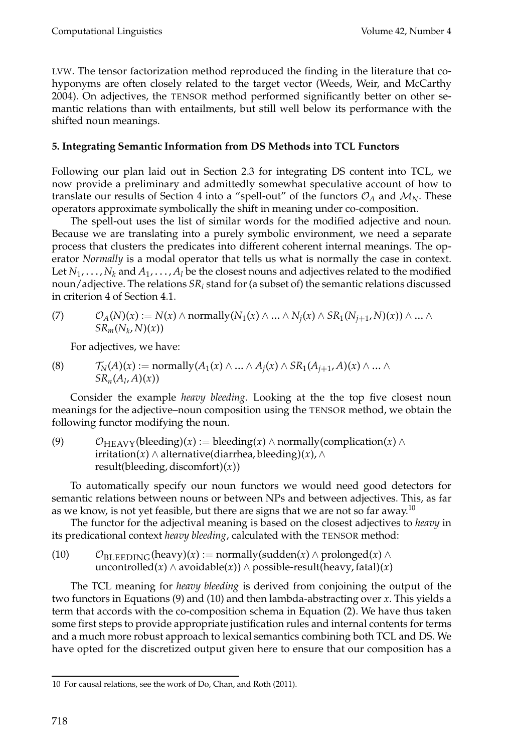LVW. The tensor factorization method reproduced the finding in the literature that cohyponyms are often closely related to the target vector (Weeds, Weir, and McCarthy 2004). On adjectives, the TENSOR method performed significantly better on other semantic relations than with entailments, but still well below its performance with the shifted noun meanings.

#### **5. Integrating Semantic Information from DS Methods into TCL Functors**

Following our plan laid out in Section 2.3 for integrating DS content into TCL, we now provide a preliminary and admittedly somewhat speculative account of how to translate our results of Section 4 into a "spell-out" of the functors  $\mathcal{O}_A$  and  $\mathcal{M}_N$ . These operators approximate symbolically the shift in meaning under co-composition.

The spell-out uses the list of similar words for the modified adjective and noun. Because we are translating into a purely symbolic environment, we need a separate process that clusters the predicates into different coherent internal meanings. The operator *Normally* is a modal operator that tells us what is normally the case in context. Let  $N_1, \ldots, N_k$  and  $A_1, \ldots, A_l$  be the closest nouns and adjectives related to the modified noun/adjective. The relations *SRi* stand for (a subset of) the semantic relations discussed in criterion 4 of Section 4.1.

(7) 
$$
\mathcal{O}_A(N)(x) := N(x) \land \text{normally}(N_1(x) \land ... \land N_j(x) \land SR_1(N_{j+1}, N)(x)) \land ... \land SR_m(N_k, N)(x))
$$

For adjectives, we have:

(8) 
$$
\mathcal{T}_N(A)(x) := \text{normally}(A_1(x) \wedge ... \wedge A_j(x) \wedge SR_1(A_{j+1}, A)(x) \wedge ... \wedge SR_n(A_l, A)(x))
$$

Consider the example *heavy bleeding*. Looking at the the top five closest noun meanings for the adjective–noun composition using the TENSOR method, we obtain the following functor modifying the noun.

(9)  $\mathcal{O}_{\text{HEAVY}}(\text{bleading})(x) := \text{bleading}(x) \land \text{normally}(\text{complication}(x) \land$ irritation(*x*) ∧ alternative(diarrhea, bleeding)(*x*), ∧ result(bleeding, discomfort)(*x*))

To automatically specify our noun functors we would need good detectors for semantic relations between nouns or between NPs and between adjectives. This, as far as we know, is not yet feasible, but there are signs that we are not so far away.<sup>10</sup>

The functor for the adjectival meaning is based on the closest adjectives to *heavy* in its predicational context *heavy bleeding*, calculated with the TENSOR method:

(10)  $\mathcal{O}_{\text{BLEEDING}}(\text{heavy})(x) := \text{normally}(sudden(x) \land \text{prolonged}(x) \land$ uncontrolled(*x*) ∧ avoidable(*x*)) ∧ possible-result(heavy, fatal)(*x*)

The TCL meaning for *heavy bleeding* is derived from conjoining the output of the two functors in Equations (9) and (10) and then lambda-abstracting over *x*. This yields a term that accords with the co-composition schema in Equation (2). We have thus taken some first steps to provide appropriate justification rules and internal contents for terms and a much more robust approach to lexical semantics combining both TCL and DS. We have opted for the discretized output given here to ensure that our composition has a

<sup>10</sup> For causal relations, see the work of Do, Chan, and Roth (2011).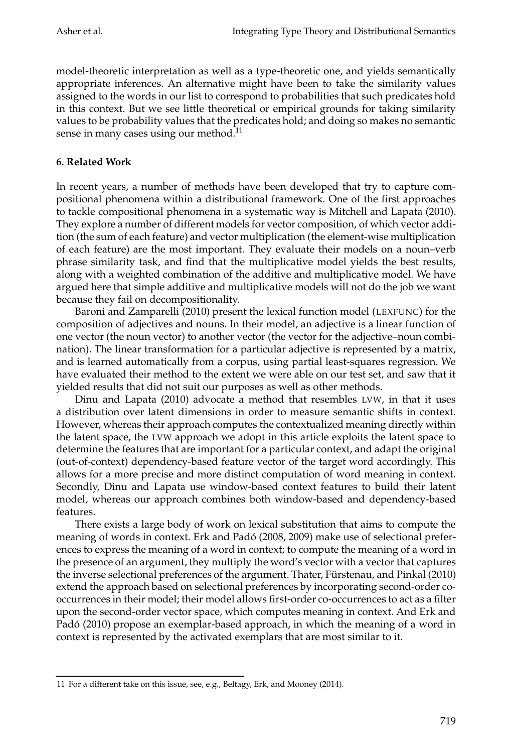model-theoretic interpretation as well as a type-theoretic one, and yields semantically appropriate inferences. An alternative might have been to take the similarity values assigned to the words in our list to correspond to probabilities that such predicates hold in this context. But we see little theoretical or empirical grounds for taking similarity values to be probability values that the predicates hold; and doing so makes no semantic sense in many cases using our method.<sup>11</sup>

#### **6. Related Work**

In recent years, a number of methods have been developed that try to capture compositional phenomena within a distributional framework. One of the first approaches to tackle compositional phenomena in a systematic way is Mitchell and Lapata (2010). They explore a number of different models for vector composition, of which vector addition (the sum of each feature) and vector multiplication (the element-wise multiplication of each feature) are the most important. They evaluate their models on a noun–verb phrase similarity task, and find that the multiplicative model yields the best results, along with a weighted combination of the additive and multiplicative model. We have argued here that simple additive and multiplicative models will not do the job we want because they fail on decompositionality.

Baroni and Zamparelli (2010) present the lexical function model (LEXFUNC) for the composition of adjectives and nouns. In their model, an adjective is a linear function of one vector (the noun vector) to another vector (the vector for the adjective–noun combination). The linear transformation for a particular adjective is represented by a matrix, and is learned automatically from a corpus, using partial least-squares regression. We have evaluated their method to the extent we were able on our test set, and saw that it yielded results that did not suit our purposes as well as other methods.

Dinu and Lapata (2010) advocate a method that resembles LVW, in that it uses a distribution over latent dimensions in order to measure semantic shifts in context. However, whereas their approach computes the contextualized meaning directly within the latent space, the LVW approach we adopt in this article exploits the latent space to determine the features that are important for a particular context, and adapt the original (out-of-context) dependency-based feature vector of the target word accordingly. This allows for a more precise and more distinct computation of word meaning in context. Secondly, Dinu and Lapata use window-based context features to build their latent model, whereas our approach combines both window-based and dependency-based features.

There exists a large body of work on lexical substitution that aims to compute the meaning of words in context. Erk and Padó (2008, 2009) make use of selectional preferences to express the meaning of a word in context; to compute the meaning of a word in the presence of an argument, they multiply the word's vector with a vector that captures the inverse selectional preferences of the argument. Thater, Fürstenau, and Pinkal (2010) extend the approach based on selectional preferences by incorporating second-order cooccurrences in their model; their model allows first-order co-occurrences to act as a filter upon the second-order vector space, which computes meaning in context. And Erk and Padó (2010) propose an exemplar-based approach, in which the meaning of a word in context is represented by the activated exemplars that are most similar to it.

<sup>11</sup> For a different take on this issue, see, e.g., Beltagy, Erk, and Mooney (2014).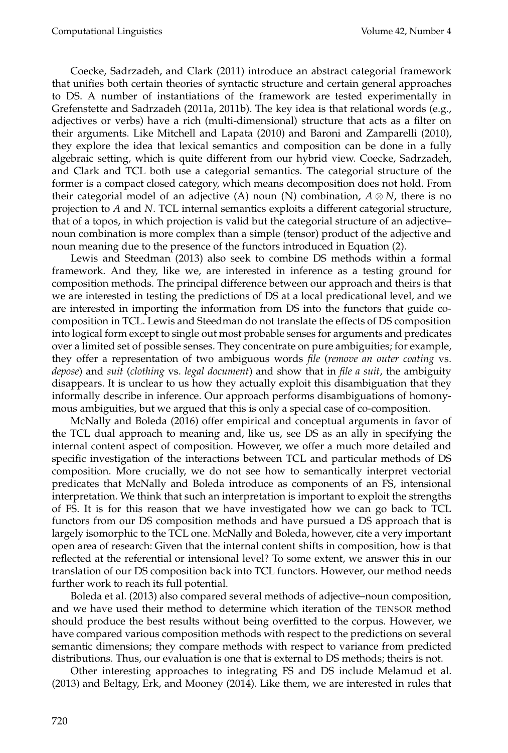Coecke, Sadrzadeh, and Clark (2011) introduce an abstract categorial framework that unifies both certain theories of syntactic structure and certain general approaches to DS. A number of instantiations of the framework are tested experimentally in Grefenstette and Sadrzadeh (2011a, 2011b). The key idea is that relational words (e.g., adjectives or verbs) have a rich (multi-dimensional) structure that acts as a filter on their arguments. Like Mitchell and Lapata (2010) and Baroni and Zamparelli (2010), they explore the idea that lexical semantics and composition can be done in a fully algebraic setting, which is quite different from our hybrid view. Coecke, Sadrzadeh, and Clark and TCL both use a categorial semantics. The categorial structure of the former is a compact closed category, which means decomposition does not hold. From their categorial model of an adjective (A) noun (N) combination,  $A \otimes N$ , there is no projection to *A* and *N*. TCL internal semantics exploits a different categorial structure, that of a topos, in which projection is valid but the categorial structure of an adjective– noun combination is more complex than a simple (tensor) product of the adjective and noun meaning due to the presence of the functors introduced in Equation (2).

Lewis and Steedman (2013) also seek to combine DS methods within a formal framework. And they, like we, are interested in inference as a testing ground for composition methods. The principal difference between our approach and theirs is that we are interested in testing the predictions of DS at a local predicational level, and we are interested in importing the information from DS into the functors that guide cocomposition in TCL. Lewis and Steedman do not translate the effects of DS composition into logical form except to single out most probable senses for arguments and predicates over a limited set of possible senses. They concentrate on pure ambiguities; for example, they offer a representation of two ambiguous words *file* (*remove an outer coating* vs. *depose*) and *suit* (*clothing* vs. *legal document*) and show that in *file a suit*, the ambiguity disappears. It is unclear to us how they actually exploit this disambiguation that they informally describe in inference. Our approach performs disambiguations of homonymous ambiguities, but we argued that this is only a special case of co-composition.

McNally and Boleda (2016) offer empirical and conceptual arguments in favor of the TCL dual approach to meaning and, like us, see DS as an ally in specifying the internal content aspect of composition. However, we offer a much more detailed and specific investigation of the interactions between TCL and particular methods of DS composition. More crucially, we do not see how to semantically interpret vectorial predicates that McNally and Boleda introduce as components of an FS, intensional interpretation. We think that such an interpretation is important to exploit the strengths of FS. It is for this reason that we have investigated how we can go back to TCL functors from our DS composition methods and have pursued a DS approach that is largely isomorphic to the TCL one. McNally and Boleda, however, cite a very important open area of research: Given that the internal content shifts in composition, how is that reflected at the referential or intensional level? To some extent, we answer this in our translation of our DS composition back into TCL functors. However, our method needs further work to reach its full potential.

Boleda et al. (2013) also compared several methods of adjective–noun composition, and we have used their method to determine which iteration of the TENSOR method should produce the best results without being overfitted to the corpus. However, we have compared various composition methods with respect to the predictions on several semantic dimensions; they compare methods with respect to variance from predicted distributions. Thus, our evaluation is one that is external to DS methods; theirs is not.

Other interesting approaches to integrating FS and DS include Melamud et al. (2013) and Beltagy, Erk, and Mooney (2014). Like them, we are interested in rules that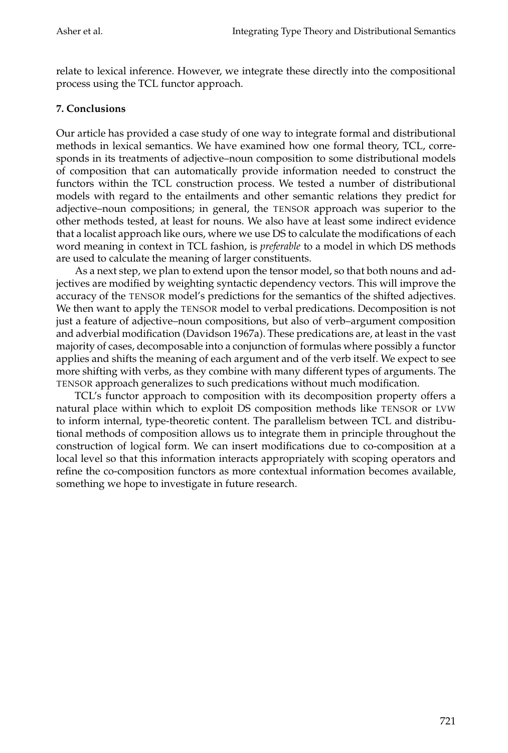relate to lexical inference. However, we integrate these directly into the compositional process using the TCL functor approach.

#### **7. Conclusions**

Our article has provided a case study of one way to integrate formal and distributional methods in lexical semantics. We have examined how one formal theory, TCL, corresponds in its treatments of adjective–noun composition to some distributional models of composition that can automatically provide information needed to construct the functors within the TCL construction process. We tested a number of distributional models with regard to the entailments and other semantic relations they predict for adjective–noun compositions; in general, the TENSOR approach was superior to the other methods tested, at least for nouns. We also have at least some indirect evidence that a localist approach like ours, where we use DS to calculate the modifications of each word meaning in context in TCL fashion, is *preferable* to a model in which DS methods are used to calculate the meaning of larger constituents.

As a next step, we plan to extend upon the tensor model, so that both nouns and adjectives are modified by weighting syntactic dependency vectors. This will improve the accuracy of the TENSOR model's predictions for the semantics of the shifted adjectives. We then want to apply the TENSOR model to verbal predications. Decomposition is not just a feature of adjective–noun compositions, but also of verb–argument composition and adverbial modification (Davidson 1967a). These predications are, at least in the vast majority of cases, decomposable into a conjunction of formulas where possibly a functor applies and shifts the meaning of each argument and of the verb itself. We expect to see more shifting with verbs, as they combine with many different types of arguments. The TENSOR approach generalizes to such predications without much modification.

TCL's functor approach to composition with its decomposition property offers a natural place within which to exploit DS composition methods like TENSOR or LVW to inform internal, type-theoretic content. The parallelism between TCL and distributional methods of composition allows us to integrate them in principle throughout the construction of logical form. We can insert modifications due to co-composition at a local level so that this information interacts appropriately with scoping operators and refine the co-composition functors as more contextual information becomes available, something we hope to investigate in future research.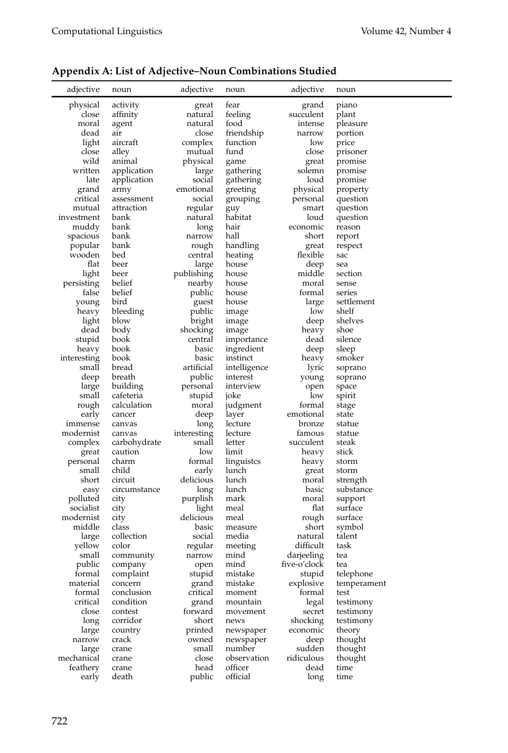# **Appendix A: List of Adjective–Noun Combinations Studied**

| adjective           | noun                  | adjective          | noun                  | adjective            | noun               |
|---------------------|-----------------------|--------------------|-----------------------|----------------------|--------------------|
| physical            | activity              | great              | fear                  | grand                | piano              |
| close               | affinity              | natural            | feeling               | succulent            | plant              |
| moral               | agent                 | natural            | food                  | intense              | pleasure           |
| dead                | air                   | close              | friendship            | narrow               | portion            |
| light               | aircraft              | complex            | function              | low                  | price              |
| close<br>wild       | alley                 | mutual             | fund                  | close                | prisoner           |
| written             | animal<br>application | physical           | game<br>gathering     | great<br>solemn      | promise<br>promise |
| late                | application           | large<br>social    | gathering             | loud                 | promise            |
| grand               | army                  | emotional          | greeting              | physical             | property           |
| critical            | assessment            | social             | grouping              | personal             | question           |
| mutual              | attraction            | regular            | guy                   | smart                | question           |
| investment          | bank                  | natural            | habitat               | loud                 | question           |
| muddy               | bank                  | long               | hair                  | economic             | reason             |
| spacious            | bank                  | narrow             | hall                  | short                | report             |
| popular             | bank                  | rough              | handling              | great                | respect            |
| wooden              | bed                   | central            | heating               | flexible             | sac                |
| flat                | beer                  | large              | house                 | deep                 | sea                |
| light               | beer                  | publishing         | house                 | middle<br>moral      | section            |
| persisting<br>false | belief<br>belief      | nearby<br>public   | house<br>house        | formal               | sense<br>series    |
| young               | bird                  | guest              | house                 | large                | settlement         |
| heavy               | bleeding              | public             | image                 | low                  | shelf              |
| light               | blow                  | bright             | image                 | deep                 | shelves            |
| dead                | body                  | shocking           | image                 | heavy                | shoe               |
| stupid              | book                  | central            | importance            | dead                 | silence            |
| heavy               | book                  | basic              | ingredient            | deep                 | sleep              |
| interesting         | book                  | basic              | instinct              | heavy                | smoker             |
| small               | bread                 | artificial         | intelligence          | lyric                | soprano            |
| deep                | breath                | public             | interest              | young                | soprano            |
| large               | building              | personal           | interview             | open                 | space              |
| small               | cafeteria             | stupid             | joke                  | low                  | spirit             |
| rough<br>early      | calculation<br>cancer | moral              | judgment<br>layer     | formal<br>emotional  | stage<br>state     |
| immense             | canvas                | deep<br>long       | lecture               | bronze               | statue             |
| modernist           | canvas                | interesting        | lecture               | famous               | statue             |
| complex             | carbohydrate          | small              | letter                | succulent            | steak              |
| great               | caution               | low                | limit                 | heavy                | stick              |
| personal            | charm                 | formal             | linguistcs            | heavy                | storm              |
| small               | child                 | early              | lunch                 | great                | storm              |
| short               | circuit               | delicious          | lunch                 | moral                | strength           |
| easy                | circumstance          | long               | lunch                 | basic                | substance          |
| polluted            | city                  | purplish           | mark                  | moral                | support            |
| socialist           | city                  | light              | meal                  | flat                 | surface            |
| modernist<br>middle | city<br>class         | delicious<br>basic | meal<br>measure       | rough<br>short       | surface<br>symbol  |
| large               | collection            | social             | media                 | natural              | talent             |
| vellow              | color                 | regular            | meeting               | difficult            | task               |
| small               | community             | narrow             | mind                  | darjeeling           | tea                |
| public              | company               | open               | mind                  | five-o'clock         | tea                |
| formal              | complaint             | stupid             | mistake               | stupid               | telephone          |
| material            | concern               | grand              | mistake               | explosive            | temperament        |
| formal              | conclusion            | critical           | moment                | formal               | test               |
| critical            | condition             | grand              | mountain              | legal                | testimony          |
| close               | contest               | forward            | movement              | secret               | testimony          |
| long                | corridor              | short              | news                  | shocking             | testimony          |
| large               | country               | printed            | newspaper             | economic             | theory             |
| narrow              | crack                 | owned<br>small     | newspaper             | deep                 | thought            |
| large<br>mechanical | crane<br>crane        | close              | number<br>observation | sudden<br>ridiculous | thought<br>thought |
| feathery            | crane                 | head               | officer               | dead                 | time               |
| early               | death                 | public             | official              | long                 | time               |
|                     |                       |                    |                       |                      |                    |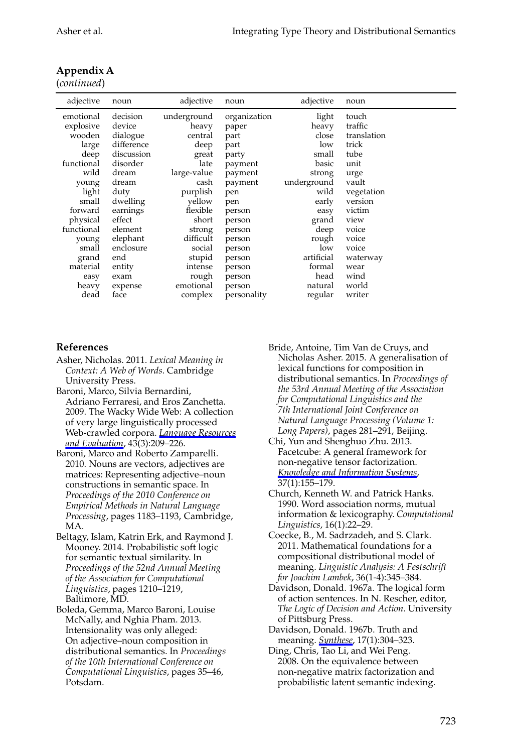| adjective  | noun       | adjective   | noun         | adjective   | noun        |
|------------|------------|-------------|--------------|-------------|-------------|
| emotional  | decision   | underground | organization | light       | touch       |
| explosive  | device     | heavy       | paper        | heavy       | traffic     |
| wooden     | dialogue   | central     | part         | close       | translation |
| large      | difference | deep        | part         | low         | trick       |
| deep       | discussion | great       | party        | small       | tube        |
| functional | disorder   | late        | payment      | basic       | unit        |
| wild       | dream      | large-value | payment      | strong      | urge        |
| young      | dream      | cash        | payment      | underground | vault       |
| light      | duty       | purplish    | pen          | wild        | vegetation  |
| small      | dwelling   | yellow      | pen          | early       | version     |
| forward    | earnings   | flexible    | person       | easy        | victim      |
| physical   | effect     | short       | person       | grand       | view        |
| functional | element    | strong      | person       | deep        | voice       |
| young      | elephant   | difficult   | person       | rough       | voice       |
| small      | enclosure  | social      | person       | low         | voice       |
| grand      | end        | stupid      | person       | artificial  | waterway    |
| material   | entity     | intense     | person       | formal      | wear        |
| easy       | exam       | rough       | person       | head        | wind        |
| heavy      | expense    | emotional   | person       | natural     | world       |
| dead       | face       | complex     | personality  | regular     | writer      |

#### **Appendix A** (*continued*)

#### **References**

- Asher, Nicholas. 2011. *Lexical Meaning in Context: A Web of Words*. Cambridge University Press.
- Baroni, Marco, Silvia Bernardini, Adriano Ferraresi, and Eros Zanchetta. 2009. The Wacky Wide Web: A collection of very large linguistically processed Web-crawled corpora. *[Language Resources](http://www.mitpressjournals.org/action/showLinks?crossref=10.1007%2Fs10579-009-9081-4) [and Evaluation](http://www.mitpressjournals.org/action/showLinks?crossref=10.1007%2Fs10579-009-9081-4)*, 43(3):209–226.
- Baroni, Marco and Roberto Zamparelli. 2010. Nouns are vectors, adjectives are matrices: Representing adjective–noun constructions in semantic space. In *Proceedings of the 2010 Conference on Empirical Methods in Natural Language Processing*, pages 1183–1193, Cambridge, MA.
- Beltagy, Islam, Katrin Erk, and Raymond J. Mooney. 2014. Probabilistic soft logic for semantic textual similarity. In *Proceedings of the 52nd Annual Meeting of the Association for Computational Linguistics*, pages 1210–1219, Baltimore, MD.
- Boleda, Gemma, Marco Baroni, Louise McNally, and Nghia Pham. 2013. Intensionality was only alleged: On adjective–noun composition in distributional semantics. In *Proceedings of the 10th International Conference on Computational Linguistics*, pages 35–46, Potsdam.

Bride, Antoine, Tim Van de Cruys, and Nicholas Asher. 2015. A generalisation of lexical functions for composition in distributional semantics. In *Proceedings of the 53rd Annual Meeting of the Association for Computational Linguistics and the 7th International Joint Conference on Natural Language Processing (Volume 1: Long Papers)*, pages 281–291, Beijing.

- Chi, Yun and Shenghuo Zhu. 2013. Facetcube: A general framework for non-negative tensor factorization. *[Knowledge and Information Systems](http://www.mitpressjournals.org/action/showLinks?crossref=10.1007%2Fs10115-012-0566-x)*, 37(1):155–179.
- Church, Kenneth W. and Patrick Hanks. 1990. Word association norms, mutual information & lexicography. *Computational Linguistics*, 16(1):22–29.
- Coecke, B., M. Sadrzadeh, and S. Clark. 2011. Mathematical foundations for a compositional distributional model of meaning. *Linguistic Analysis: A Festschrift for Joachim Lambek*, 36(1-4):345–384.
- Davidson, Donald. 1967a. The logical form of action sentences. In N. Rescher, editor, *The Logic of Decision and Action*. University of Pittsburg Press.
- Davidson, Donald. 1967b. Truth and meaning. *[Synthese](http://www.mitpressjournals.org/action/showLinks?crossref=10.1007%2FBF00485035)*, 17(1):304–323.
- Ding, Chris, Tao Li, and Wei Peng. 2008. On the equivalence between non-negative matrix factorization and probabilistic latent semantic indexing.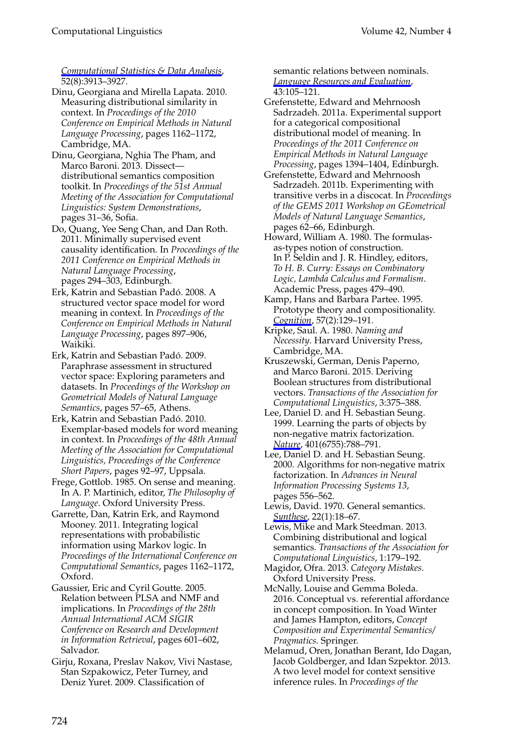*[Computational Statistics & Data Analysis](http://www.mitpressjournals.org/action/showLinks?crossref=10.1016%2Fj.csda.2008.01.011)*, 52(8):3913–3927.

- Dinu, Georgiana and Mirella Lapata. 2010. Measuring distributional similarity in context. In *Proceedings of the 2010 Conference on Empirical Methods in Natural Language Processing*, pages 1162–1172, Cambridge, MA.
- Dinu, Georgiana, Nghia The Pham, and Marco Baroni. 2013. Dissect distributional semantics composition toolkit. In *Proceedings of the 51st Annual Meeting of the Association for Computational Linguistics: System Demonstrations*, pages 31–36, Sofia.

Do, Quang, Yee Seng Chan, and Dan Roth. 2011. Minimally supervised event causality identification. In *Proceedings of the 2011 Conference on Empirical Methods in Natural Language Processing*, pages 294–303, Edinburgh.

- Erk, Katrin and Sebastian Padó. 2008. A structured vector space model for word meaning in context. In *Proceedings of the Conference on Empirical Methods in Natural Language Processing*, pages 897–906, Waikiki.
- Erk, Katrin and Sebastian Padó. 2009. Paraphrase assessment in structured vector space: Exploring parameters and datasets. In *Proceedings of the Workshop on Geometrical Models of Natural Language Semantics*, pages 57–65, Athens.
- Erk, Katrin and Sebastian Padó. 2010. Exemplar-based models for word meaning in context. In *Proceedings of the 48th Annual Meeting of the Association for Computational Linguistics, Proceedings of the Conference Short Papers*, pages 92–97, Uppsala.
- Frege, Gottlob. 1985. On sense and meaning. In A. P. Martinich, editor, *The Philosophy of Language*. Oxford University Press.
- Garrette, Dan, Katrin Erk, and Raymond Mooney. 2011. Integrating logical representations with probabilistic information using Markov logic. In *Proceedings of the International Conference on Computational Semantics*, pages 1162–1172, Oxford.
- Gaussier, Eric and Cyril Goutte. 2005. Relation between PLSA and NMF and implications. In *Proceedings of the 28th Annual International ACM SIGIR Conference on Research and Development in Information Retrieval*, pages 601–602, Salvador.
- Girju, Roxana, Preslav Nakov, Vivi Nastase, Stan Szpakowicz, Peter Turney, and Deniz Yuret. 2009. Classification of

semantic relations between nominals. *[Language Resources and Evaluation](http://www.mitpressjournals.org/action/showLinks?crossref=10.1007%2Fs10579-009-9083-2)*, 43:105–121.

- Grefenstette, Edward and Mehrnoosh Sadrzadeh. 2011a. Experimental support for a categorical compositional distributional model of meaning. In *Proceedings of the 2011 Conference on Empirical Methods in Natural Language Processing*, pages 1394–1404, Edinburgh.
- Grefenstette, Edward and Mehrnoosh Sadrzadeh. 2011b. Experimenting with transitive verbs in a discocat. In *Proceedings of the GEMS 2011 Workshop on GEometrical Models of Natural Language Semantics*, pages 62–66, Edinburgh.
- Howard, William A. 1980. The formulasas-types notion of construction. In P. Seldin and J. R. Hindley, editors, *To H. B. Curry: Essays on Combinatory Logic, Lambda Calculus and Formalism*. Academic Press, pages 479–490.
- Kamp, Hans and Barbara Partee. 1995. Prototype theory and compositionality. *[Cognition](http://www.mitpressjournals.org/action/showLinks?crossref=10.1016%2F0010-0277%2894%2900659-9)*, 57(2):129–191.
- Kripke, Saul. A. 1980. *Naming and Necessity*. Harvard University Press, Cambridge, MA.
- Kruszewski, German, Denis Paperno, and Marco Baroni. 2015. Deriving Boolean structures from distributional vectors. *Transactions of the Association for Computational Linguistics*, 3:375–388.
- Lee, Daniel D. and H. Sebastian Seung. 1999. Learning the parts of objects by non-negative matrix factorization. *[Nature](http://www.mitpressjournals.org/action/showLinks?crossref=10.1038%2F44565)*, 401(6755):788–791.
- Lee, Daniel D. and H. Sebastian Seung. 2000. Algorithms for non-negative matrix factorization. In *Advances in Neural Information Processing Systems 13*, pages 556–562.
- Lewis, David. 1970. General semantics. *[Synthese](http://www.mitpressjournals.org/action/showLinks?crossref=10.1007%2FBF00413598)*, 22(1):18–67.
- Lewis, Mike and Mark Steedman. 2013. Combining distributional and logical semantics. *Transactions of the Association for Computational Linguistics*, 1:179–192.
- Magidor, Ofra. 2013. *Category Mistakes*. Oxford University Press.
- McNally, Louise and Gemma Boleda. 2016. Conceptual vs. referential affordance in concept composition. In Yoad Winter and James Hampton, editors, *Concept Composition and Experimental Semantics/ Pragmatics*. Springer.
- Melamud, Oren, Jonathan Berant, Ido Dagan, Jacob Goldberger, and Idan Szpektor. 2013. A two level model for context sensitive inference rules. In *Proceedings of the*